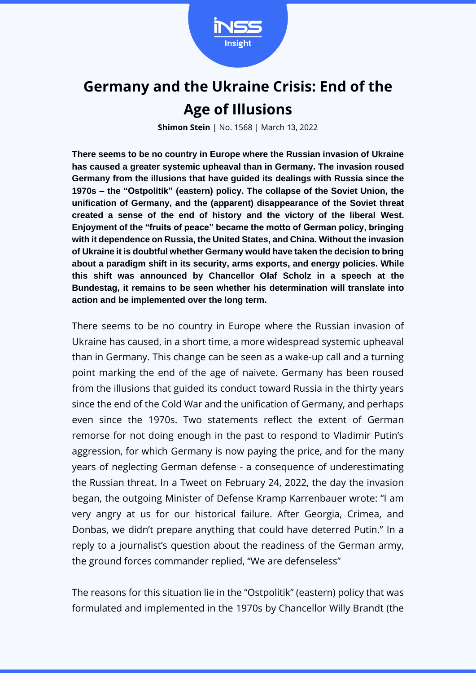

## **Germany and the Ukraine Crisis: End of the Age of Illusions**

**Shimon Stein** | No. 1568 | March 13, 2022

**There seems to be no country in Europe where the Russian invasion of Ukraine has caused a greater systemic upheaval than in Germany. The invasion roused Germany from the illusions that have guided its dealings with Russia since the 1970s – the "Ostpolitik" (eastern) policy. The collapse of the Soviet Union, the unification of Germany, and the (apparent) disappearance of the Soviet threat created a sense of the end of history and the victory of the liberal West. Enjoyment of the "fruits of peace" became the motto of German policy, bringing with it dependence on Russia, the United States, and China. Without the invasion of Ukraine it is doubtful whether Germany would have taken the decision to bring about a paradigm shift in its security, arms exports, and energy policies. While this shift was announced by Chancellor Olaf Scholz in a speech at the Bundestag, it remains to be seen whether his determination will translate into action and be implemented over the long term.**

There seems to be no country in Europe where the Russian invasion of Ukraine has caused, in a short time, a more widespread systemic upheaval than in Germany. This change can be seen as a wake-up call and a turning point marking the end of the age of naivete. Germany has been roused from the illusions that guided its conduct toward Russia in the thirty years since the end of the Cold War and the unification of Germany, and perhaps even since the 1970s. Two statements reflect the extent of German remorse for not doing enough in the past to respond to Vladimir Putin's aggression, for which Germany is now paying the price, and for the many years of neglecting German defense - a consequence of underestimating the Russian threat. In a Tweet on February 24, 2022, the day the invasion began, the outgoing Minister of Defense Kramp Karrenbauer wrote: "I am very angry at us for our historical failure. After Georgia, Crimea, and Donbas, we didn't prepare anything that could have deterred Putin." In a reply to a journalist's question about the readiness of the German army, the ground forces commander replied, "We are defenseless"

The reasons for this situation lie in the "Ostpolitik" (eastern) policy that was formulated and implemented in the 1970s by Chancellor Willy Brandt (the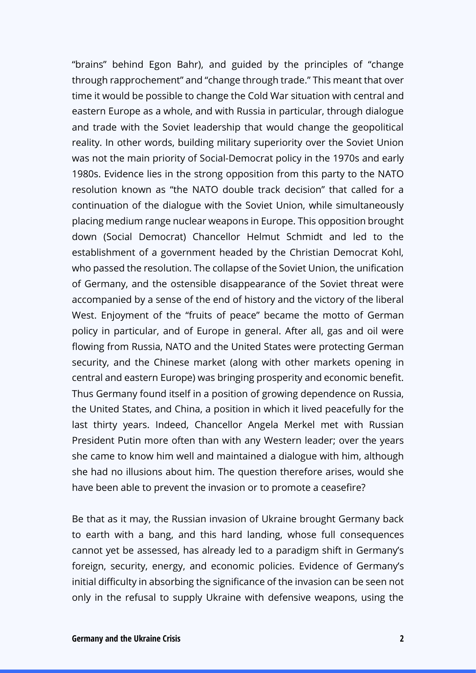"brains" behind Egon Bahr), and guided by the principles of "change through rapprochement" and "change through trade." This meant that over time it would be possible to change the Cold War situation with central and eastern Europe as a whole, and with Russia in particular, through dialogue and trade with the Soviet leadership that would change the geopolitical reality. In other words, building military superiority over the Soviet Union was not the main priority of Social-Democrat policy in the 1970s and early 1980s. Evidence lies in the strong opposition from this party to the NATO resolution known as "the NATO double track decision" that called for a continuation of the dialogue with the Soviet Union, while simultaneously placing medium range nuclear weapons in Europe. This opposition brought down (Social Democrat) Chancellor Helmut Schmidt and led to the establishment of a government headed by the Christian Democrat Kohl, who passed the resolution. The collapse of the Soviet Union, the unification of Germany, and the ostensible disappearance of the Soviet threat were accompanied by a sense of the end of history and the victory of the liberal West. Enjoyment of the "fruits of peace" became the motto of German policy in particular, and of Europe in general. After all, gas and oil were flowing from Russia, NATO and the United States were protecting German security, and the Chinese market (along with other markets opening in central and eastern Europe) was bringing prosperity and economic benefit. Thus Germany found itself in a position of growing dependence on Russia, the United States, and China, a position in which it lived peacefully for the last thirty years. Indeed, Chancellor Angela Merkel met with Russian President Putin more often than with any Western leader; over the years she came to know him well and maintained a dialogue with him, although she had no illusions about him. The question therefore arises, would she have been able to prevent the invasion or to promote a ceasefire?

Be that as it may, the Russian invasion of Ukraine brought Germany back to earth with a bang, and this hard landing, whose full consequences cannot yet be assessed, has already led to a paradigm shift in Germany's foreign, security, energy, and economic policies. Evidence of Germany's initial difficulty in absorbing the significance of the invasion can be seen not only in the refusal to supply Ukraine with defensive weapons, using the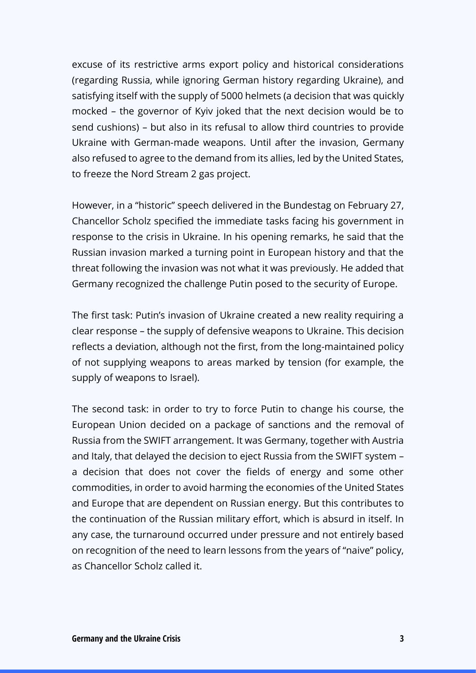excuse of its restrictive arms export policy and historical considerations (regarding Russia, while ignoring German history regarding Ukraine), and satisfying itself with the supply of 5000 helmets (a decision that was quickly mocked – the governor of Kyiv joked that the next decision would be to send cushions) – but also in its refusal to allow third countries to provide Ukraine with German-made weapons. Until after the invasion, Germany also refused to agree to the demand from its allies, led by the United States, to freeze the Nord Stream 2 gas project.

However, in a "historic" speech delivered in the Bundestag on February 27, Chancellor Scholz specified the immediate tasks facing his government in response to the crisis in Ukraine. In his opening remarks, he said that the Russian invasion marked a turning point in European history and that the threat following the invasion was not what it was previously. He added that Germany recognized the challenge Putin posed to the security of Europe.

The first task: Putin's invasion of Ukraine created a new reality requiring a clear response – the supply of defensive weapons to Ukraine. This decision reflects a deviation, although not the first, from the long-maintained policy of not supplying weapons to areas marked by tension (for example, the supply of weapons to Israel).

The second task: in order to try to force Putin to change his course, the European Union decided on a package of sanctions and the removal of Russia from the SWIFT arrangement. It was Germany, together with Austria and Italy, that delayed the decision to eject Russia from the SWIFT system – a decision that does not cover the fields of energy and some other commodities, in order to avoid harming the economies of the United States and Europe that are dependent on Russian energy. But this contributes to the continuation of the Russian military effort, which is absurd in itself. In any case, the turnaround occurred under pressure and not entirely based on recognition of the need to learn lessons from the years of "naive" policy, as Chancellor Scholz called it.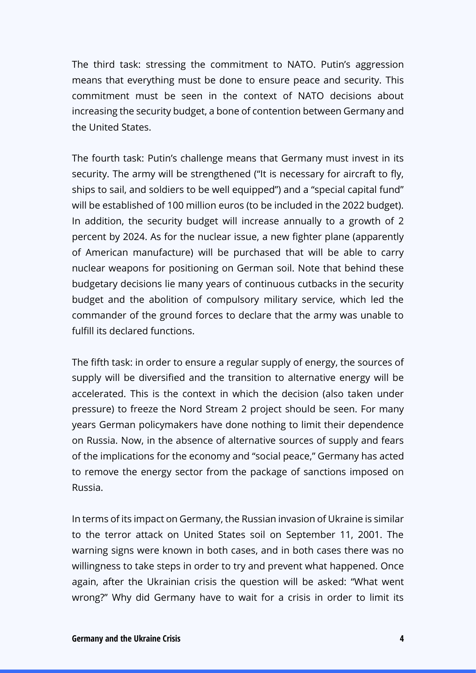The third task: stressing the commitment to NATO. Putin's aggression means that everything must be done to ensure peace and security. This commitment must be seen in the context of NATO decisions about increasing the security budget, a bone of contention between Germany and the United States.

The fourth task: Putin's challenge means that Germany must invest in its security. The army will be strengthened ("It is necessary for aircraft to fly, ships to sail, and soldiers to be well equipped") and a "special capital fund" will be established of 100 million euros (to be included in the 2022 budget). In addition, the security budget will increase annually to a growth of 2 percent by 2024. As for the nuclear issue, a new fighter plane (apparently of American manufacture) will be purchased that will be able to carry nuclear weapons for positioning on German soil. Note that behind these budgetary decisions lie many years of continuous cutbacks in the security budget and the abolition of compulsory military service, which led the commander of the ground forces to declare that the army was unable to fulfill its declared functions.

The fifth task: in order to ensure a regular supply of energy, the sources of supply will be diversified and the transition to alternative energy will be accelerated. This is the context in which the decision (also taken under pressure) to freeze the Nord Stream 2 project should be seen. For many years German policymakers have done nothing to limit their dependence on Russia. Now, in the absence of alternative sources of supply and fears of the implications for the economy and "social peace," Germany has acted to remove the energy sector from the package of sanctions imposed on Russia.

In terms of its impact on Germany, the Russian invasion of Ukraine is similar to the terror attack on United States soil on September 11, 2001. The warning signs were known in both cases, and in both cases there was no willingness to take steps in order to try and prevent what happened. Once again, after the Ukrainian crisis the question will be asked: "What went wrong?" Why did Germany have to wait for a crisis in order to limit its